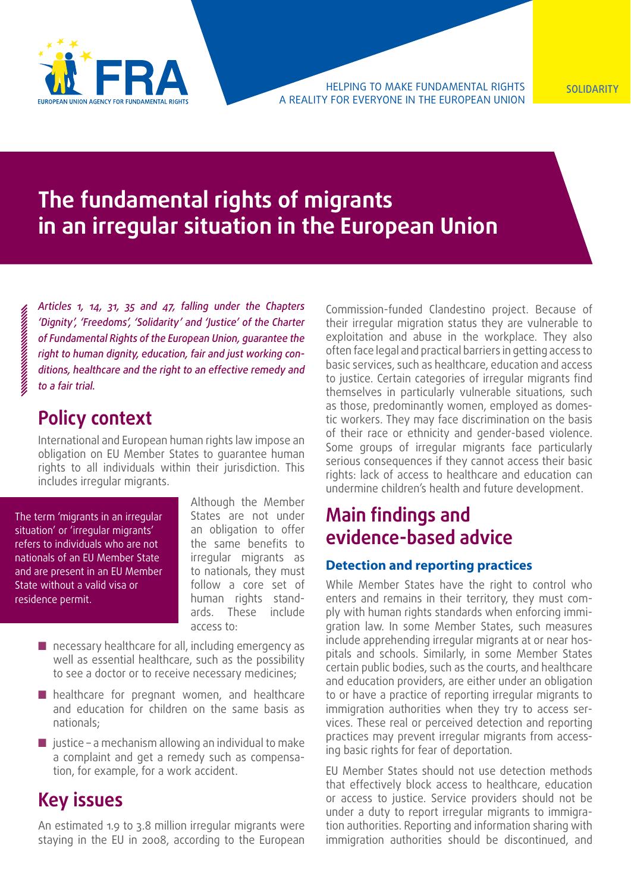

HELPING TO MAKE FUNDAMENTAL RIGHTS A REALITY FOR EVERYONE IN THE EUROPEAN UNION

# **The fundamental rights of migrants in an irregular situation in the European Union**

*Articles 1, 14, 31, 35 and 47, falling under the Chapters 'Dignity', 'Freedoms', 'Solidarity' and 'Justice' of the Charter of Fundamental Rights of the European Union, guarantee the right to human dignity, education, fair and just working conditions, healthcare and the right to an effective remedy and to a fair trial.* 

### **Policy context**

International and European human rights law impose an obligation on EU Member States to guarantee human rights to all individuals within their jurisdiction. This includes irregular migrants.

The term 'migrants in an irregular situation' or 'irregular migrants' refers to individuals who are not nationals of an EU Member State and are present in an EU Member State without a valid visa or residence permit.

Although the Member States are not under an obligation to offer the same benefits to irregular migrants as to nationals, they must follow a core set of human rights standards. These include access to:

- $\blacksquare$  necessary healthcare for all, including emergency as well as essential healthcare, such as the possibility to see a doctor or to receive necessary medicines;
- healthcare for pregnant women, and healthcare and education for children on the same basis as nationals;
- $\blacksquare$  justice a mechanism allowing an individual to make a complaint and get a remedy such as compensation, for example, for a work accident.

## **Key issues**

An estimated 1.9 to 3.8 million irregular migrants were staying in the EU in 2008, according to the European Commission-funded Clandestino project. Because of their irregular migration status they are vulnerable to exploitation and abuse in the workplace. They also often face legal and practical barriers in getting access to basic services, such as healthcare, education and access to justice. Certain categories of irregular migrants find themselves in particularly vulnerable situations, such as those, predominantly women, employed as domestic workers. They may face discrimination on the basis of their race or ethnicity and gender-based violence. Some groups of irregular migrants face particularly serious consequences if they cannot access their basic rights: lack of access to healthcare and education can undermine children's health and future development.

# **Main findings and evidence-based advice**

#### **Detection and reporting practices**

While Member States have the right to control who enters and remains in their territory, they must comply with human rights standards when enforcing immigration law. In some Member States, such measures include apprehending irregular migrants at or near hospitals and schools. Similarly, in some Member States certain public bodies, such as the courts, and healthcare and education providers, are either under an obligation to or have a practice of reporting irregular migrants to immigration authorities when they try to access services. These real or perceived detection and reporting practices may prevent irregular migrants from accessing basic rights for fear of deportation.

EU Member States should not use detection methods that effectively block access to healthcare, education or access to justice. Service providers should not be under a duty to report irregular migrants to immigration authorities. Reporting and information sharing with immigration authorities should be discontinued, and